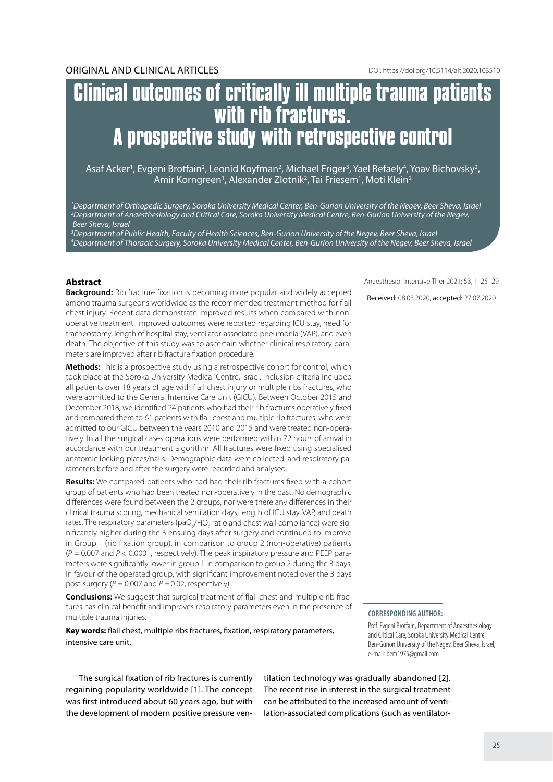# **Clinical outcomes of critically ill multiple trauma patients with rib fractures. A prospective study with retrospective control**

Asaf Acker<sup>1</sup>, Evgeni Brotfain<sup>2</sup>, Leonid Koyfman<sup>2</sup>, Michael Friger<sup>3</sup>, Yael Refaely<sup>4</sup>, Yoav Bichovsky<sup>2</sup>, Amir Korngreen<sup>1</sup>, Alexander Zlotnik<sup>2</sup>, Tai Friesem<sup>1</sup>, Moti Klein<sup>2</sup>

*1 Department of Orthopedic Surgery, Soroka University Medical Center, Ben-Gurion University of the Negev, Beer Sheva, Israel 2 Department of Anaesthesiology and Critical Care, Soroka University Medical Centre, Ben-Gurion University of the Negev, Beer Sheva, Israel*

*3 Department of Public Health, Faculty of Health Sciences, Ben-Gurion University of the Negev, Beer Sheva, Israel 4 Department of Thoracic Surgery, Soroka University Medical Center, Ben-Gurion University of the Negev, Beer Sheva, Israel*

# **Abstract**

**Background:** Rib fracture fixation is becoming more popular and widely accepted among trauma surgeons worldwide as the recommended treatment method for flail chest injury. Recent data demonstrate improved results when compared with nonoperative treatment. Improved outcomes were reported regarding ICU stay, need for tracheostomy, length of hospital stay, ventilator-associated pneumonia (VAP), and even death. The objective of this study was to ascertain whether clinical respiratory parameters are improved after rib fracture fixation procedure.

**Methods:** This is a prospective study using a retrospective cohort for control, which took place at the Soroka University Medical Centre, Israel. Inclusion criteria included all patients over 18 years of age with flail chest injury or multiple ribs fractures, who were admitted to the General Intensive Care Unit (GICU). Between October 2015 and December 2018, we identified 24 patients who had their rib fractures operatively fixed and compared them to 61 patients with flail chest and multiple rib fractures, who were admitted to our GICU between the years 2010 and 2015 and were treated non-operatively. In all the surgical cases operations were performed within 72 hours of arrival in accordance with our treatment algorithm. All fractures were fixed using specialised anatomic locking plates/nails. Demographic data were collected, and respiratory parameters before and after the surgery were recorded and analysed.

**Results:** We compared patients who had had their rib fractures fixed with a cohort group of patients who had been treated non-operatively in the past. No demographic differences were found between the 2 groups, nor were there any differences in their clinical trauma scoring, mechanical ventilation days, length of ICU stay, VAP, and death rates. The respiratory parameters (paO<sub>2</sub>/FiO<sub>2</sub> ratio and chest wall compliance) were significantly higher during the 3 ensuing days after surgery and continued to improve in Group 1 (rib fixation group), in comparison to group 2 (non-operative) patients (*P* = 0.007 and *P* < 0.0001, respectively). The peak inspiratory pressure and PEEP parameters were significantly lower in group 1 in comparison to group 2 during the 3 days, in favour of the operated group, with significant improvement noted over the 3 days post-surgery (*P* = 0.007 and *P =* 0.02, respectively).

**Conclusions:** We suggest that surgical treatment of flail chest and multiple rib fractures has clinical benefit and improves respiratory parameters even in the presence of multiple trauma injuries.

**Key words:** flail chest, multiple ribs fractures, fixation, respiratory parameters, intensive care unit.

Anaesthesiol Intensive Ther 2021; 53, 1: 25–29

Received: 08.03.2020, accepted: 27.07.2020

#### **Corresponding author:**

Prof. Evgeni Brotfain, Department of Anaesthesiology and Critical Care, Soroka University Medical Centre, Ben-Gurion University of the Negev, Beer Sheva, Israel, e-mail: bem1975@gmail.com

The surgical fixation of rib fractures is currently regaining popularity worldwide [1]. The concept was first introduced about 60 years ago, but with the development of modern positive pressure ventilation technology was gradually abandoned [2]. The recent rise in interest in the surgical treatment can be attributed to the increased amount of ventilation-associated complications (such as ventilator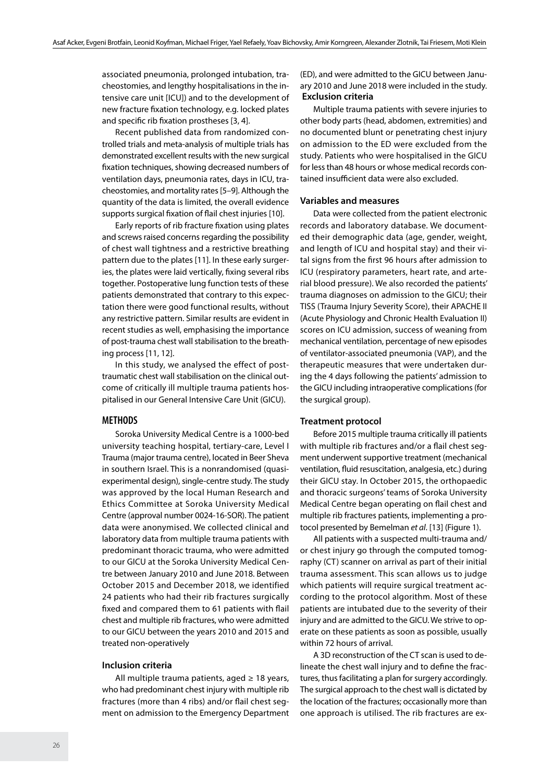associated pneumonia, prolonged intubation, tracheostomies, and lengthy hospitalisations in the intensive care unit [ICU]) and to the development of new fracture fixation technology, e.g. locked plates and specific rib fixation prostheses [3, 4].

Recent published data from randomized controlled trials and meta-analysis of multiple trials has demonstrated excellent results with the new surgical fixation techniques, showing decreased numbers of ventilation days, pneumonia rates, days in ICU, tracheostomies, and mortality rates [5–9]. Although the quantity of the data is limited, the overall evidence supports surgical fixation of flail chest injuries [10].

Early reports of rib fracture fixation using plates and screws raised concerns regarding the possibility of chest wall tightness and a restrictive breathing pattern due to the plates [11]. In these early surgeries, the plates were laid vertically, fixing several ribs together. Postoperative lung function tests of these patients demonstrated that contrary to this expectation there were good functional results, without any restrictive pattern. Similar results are evident in recent studies as well, emphasising the importance of post-trauma chest wall stabilisation to the breathing process [11, 12].

In this study, we analysed the effect of posttraumatic chest wall stabilisation on the clinical outcome of critically ill multiple trauma patients hospitalised in our General Intensive Care Unit (GICU).

# **METHODS**

Soroka University Medical Centre is a 1000-bed university teaching hospital, tertiary-care, Level I Trauma (major trauma centre), located in Beer Sheva in southern Israel. This is a nonrandomised (quasiexperimental design), single-centre study. The study was approved by the local Human Research and Ethics Committee at Soroka University Medical Centre (approval number 0024-16-SOR). The patient data were anonymised. We collected clinical and laboratory data from multiple trauma patients with predominant thoracic trauma, who were admitted to our GICU at the Soroka University Medical Centre between January 2010 and June 2018. Between October 2015 and December 2018, we identified 24 patients who had their rib fractures surgically fixed and compared them to 61 patients with flail chest and multiple rib fractures, who were admitted to our GICU between the years 2010 and 2015 and treated non-operatively

# **Inclusion criteria**

All multiple trauma patients, aged  $\geq 18$  years, who had predominant chest injury with multiple rib fractures (more than 4 ribs) and/or flail chest segment on admission to the Emergency Department (ED), and were admitted to the GICU between January 2010 and June 2018 were included in the study.  **Exclusion criteria**

Multiple trauma patients with severe injuries to other body parts (head, abdomen, extremities) and no documented blunt or penetrating chest injury on admission to the ED were excluded from the study. Patients who were hospitalised in the GICU for less than 48 hours or whose medical records contained insufficient data were also excluded.

#### **Variables and measures**

Data were collected from the patient electronic records and laboratory database. We documented their demographic data (age, gender, weight, and length of ICU and hospital stay) and their vital signs from the first 96 hours after admission to ICU (respiratory parameters, heart rate, and arterial blood pressure). We also recorded the patients' trauma diagnoses on admission to the GICU; their TISS (Trauma Injury Severity Score), their APACHE II (Acute Physiology and Chronic Health Evaluation II) scores on ICU admission, success of weaning from mechanical ventilation, percentage of new episodes of ventilator-associated pneumonia (VAP), and the therapeutic measures that were undertaken during the 4 days following the patients' admission to the GICU including intraoperative complications (for the surgical group).

#### **Treatment protocol**

Before 2015 multiple trauma critically ill patients with multiple rib fractures and/or a flail chest segment underwent supportive treatment (mechanical ventilation, fluid resuscitation, analgesia, etc.) during their GICU stay. In October 2015, the orthopaedic and thoracic surgeons' teams of Soroka University Medical Centre began operating on flail chest and multiple rib fractures patients, implementing a protocol presented by Bemelman *et al*. [13] (Figure 1).

All patients with a suspected multi-trauma and/ or chest injury go through the computed tomography (CT) scanner on arrival as part of their initial trauma assessment. This scan allows us to judge which patients will require surgical treatment according to the protocol algorithm. Most of these patients are intubated due to the severity of their injury and are admitted to the GICU. We strive to operate on these patients as soon as possible, usually within 72 hours of arrival.

A 3D reconstruction of the CT scan is used to delineate the chest wall injury and to define the fractures, thus facilitating a plan for surgery accordingly. The surgical approach to the chest wall is dictated by the location of the fractures; occasionally more than one approach is utilised. The rib fractures are ex-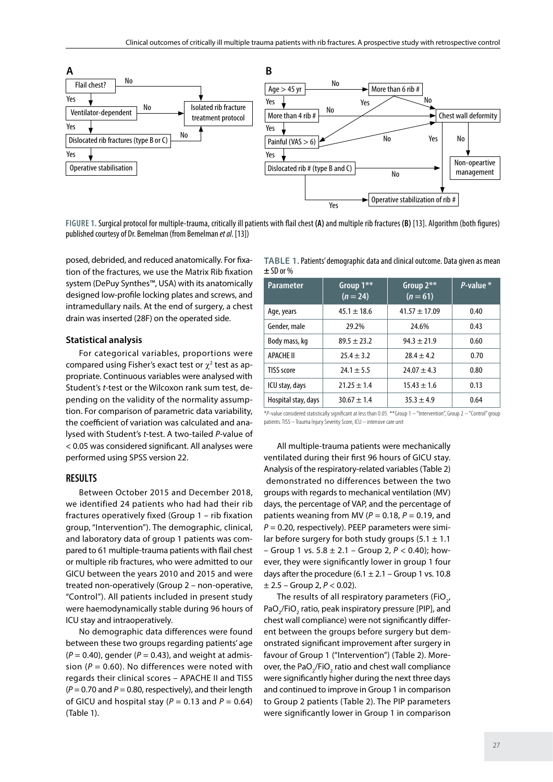

**Figure 1.** Surgical protocol for multiple-trauma, critically ill patients with flail chest **(A)** and multiple rib fractures **(B)** [13]. Algorithm (both figures) published courtesy of Dr. Bemelman (from Bemelman *et al*. [13])

posed, debrided, and reduced anatomically. For fixation of the fractures, we use the Matrix Rib fixation system (DePuy Synthes™, USA) with its anatomically designed low-profile locking plates and screws, and intramedullary nails. At the end of surgery, a chest drain was inserted (28F) on the operated side.

### **Statistical analysis**

For categorical variables, proportions were compared using Fisher's exact test or  $\chi^2$  test as appropriate. Continuous variables were analysed with Student's *t*-test or the Wilcoxon rank sum test, depending on the validity of the normality assumption. For comparison of parametric data variability, the coefficient of variation was calculated and analysed with Student's *t*-test. A two-tailed *P*-value of < 0.05 was considered significant. All analyses were performed using SPSS version 22.

# **RESULTS**

Between October 2015 and December 2018, we identified 24 patients who had had their rib fractures operatively fixed (Group 1 – rib fixation group, "Intervention"). The demographic, clinical, and laboratory data of group 1 patients was compared to 61 multiple-trauma patients with flail chest or multiple rib fractures, who were admitted to our GICU between the years 2010 and 2015 and were treated non-operatively (Group 2 – non-operative, "Control"). All patients included in present study were haemodynamically stable during 96 hours of ICU stay and intraoperatively.

No demographic data differences were found between these two groups regarding patients' age  $(P = 0.40)$ , gender  $(P = 0.43)$ , and weight at admission ( $P = 0.60$ ). No differences were noted with regards their clinical scores – APACHE II and TISS  $(P = 0.70$  and  $P = 0.80$ , respectively), and their length of GICU and hospital stay  $(P = 0.13$  and  $P = 0.64$ ) (Table 1).

| TABLE 1. Patients' demographic data and clinical outcome. Data given as mean |  |  |
|------------------------------------------------------------------------------|--|--|
| $\pm$ SD or % $\,$                                                           |  |  |

| <b>Parameter</b>    | Group 1**<br>$(n = 24)$ | Group $2**$<br>$(n=61)$ | P-value * |
|---------------------|-------------------------|-------------------------|-----------|
| Age, years          | $45.1 \pm 18.6$         | $41.57 \pm 17.09$       | 0.40      |
| Gender, male        | 29.2%                   | 24.6%                   | 0.43      |
| Body mass, kg       | $89.5 + 23.2$           | $94.3 + 21.9$           | 0.60      |
| <b>APACHE II</b>    | $75.4 + 3.7$            | $78.4 + 4.7$            | 0.70      |
| TISS score          | $24.1 \pm 5.5$          | $24.07 \pm 4.3$         | 0.80      |
| ICU stay, days      | $21.25 \pm 1.4$         | $15.43 \pm 1.6$         | 0.13      |
| Hospital stay, days | $30.67 \pm 1.4$         | $35.3 \pm 4.9$          | 0.64      |

\**P*-value considered statistically significant at less than 0.05. \*\*Group 1 – "Intervention", Group 2 – "Control" group patients. TISS – Trauma Injury Severity Score, ICU – intensive care unit

All multiple-trauma patients were mechanically ventilated during their first 96 hours of GICU stay. Analysis of the respiratory-related variables (Table 2) demonstrated no differences between the two groups with regards to mechanical ventilation (MV) days, the percentage of VAP, and the percentage of patients weaning from MV ( $P = 0.18$ ,  $P = 0.19$ , and  $P = 0.20$ , respectively). PEEP parameters were similar before surgery for both study groups (5.1  $\pm$  1.1 – Group 1 vs. 5.8 ± 2.1 – Group 2, *P* < 0.40); however, they were significantly lower in group 1 four days after the procedure  $(6.1 \pm 2.1 -$  Group 1 vs. 10.8  $\pm$  2.5 – Group 2,  $P < 0.02$ ).

The results of all respiratory parameters (FiO<sub>2</sub>, PaO<sub>2</sub>/FiO<sub>2</sub> ratio, peak inspiratory pressure [PIP], and chest wall compliance) were not significantly different between the groups before surgery but demonstrated significant improvement after surgery in favour of Group 1 ("Intervention") (Table 2). Moreover, the PaO<sub>2</sub>/FiO<sub>2</sub> ratio and chest wall compliance were significantly higher during the next three days and continued to improve in Group 1 in comparison to Group 2 patients (Table 2). The PIP parameters were significantly lower in Group 1 in comparison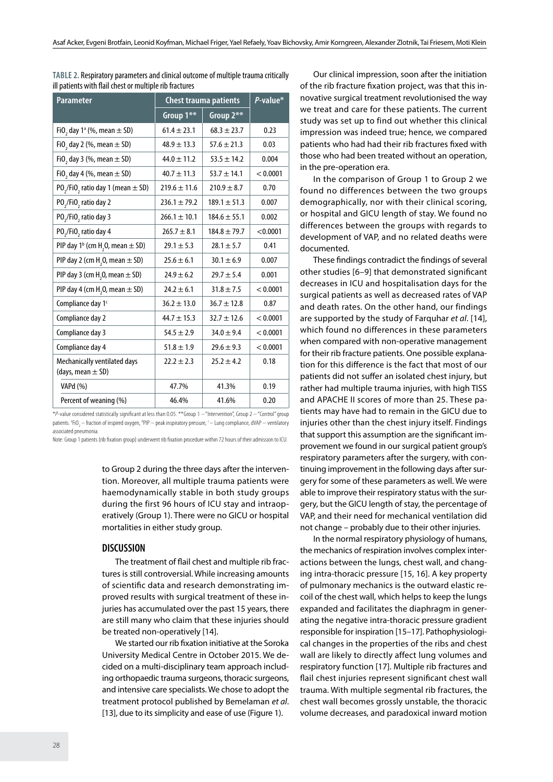| <b>Parameter</b>                                              | <b>Chest trauma patients</b> |                  | P-value* |
|---------------------------------------------------------------|------------------------------|------------------|----------|
|                                                               | Group 1**                    | Group 2**        |          |
| FiO <sub>2</sub> day $1^a$ (%, mean $\pm$ SD)                 | $61.4 \pm 23.1$              | $68.3 \pm 23.7$  | 0.23     |
| FiO <sub>2</sub> day 2 (%, mean $\pm$ SD)                     | $48.9 \pm 13.3$              | $57.6 \pm 21.3$  | 0.03     |
| FiO <sub>2</sub> day 3 (%, mean $\pm$ SD)                     | $44.0 \pm 11.2$              | $53.5 \pm 14.2$  | 0.004    |
| FiO <sub>2</sub> day 4 (%, mean $\pm$ SD)                     | $40.7 \pm 11.3$              | $53.7 \pm 14.1$  | < 0.0001 |
| PO <sub>2</sub> /FiO <sub>2</sub> ratio day 1 (mean $\pm$ SD) | $219.6 \pm 11.6$             | $210.9 \pm 8.7$  | 0.70     |
| PO <sub>2</sub> /FiO <sub>2</sub> ratio day 2                 | $236.1 \pm 79.2$             | $189.1 \pm 51.3$ | 0.007    |
| PO <sub>2</sub> /FiO <sub>2</sub> ratio day 3                 | $266.1 \pm 10.1$             | $184.6 \pm 55.1$ | 0.002    |
| PO <sub>2</sub> /FiO <sub>2</sub> ratio day 4                 | $265.7 \pm 8.1$              | $184.8 \pm 79.7$ | < 0.0001 |
| PIP day $1^b$ (cm H <sub>2</sub> O, mean $\pm$ SD)            | $29.1 \pm 5.3$               | $28.1 \pm 5.7$   | 0.41     |
| PIP day 2 (cm H <sub>2</sub> O, mean $\pm$ SD)                | $25.6 \pm 6.1$               | $30.1 \pm 6.9$   | 0.007    |
| PIP day 3 (cm $H$ , 0, mean $\pm$ SD)                         | $24.9 \pm 6.2$               | $29.7 \pm 5.4$   | 0.001    |
| PIP day 4 (cm H <sub>2</sub> O, mean $\pm$ SD)                | $24.2 \pm 6.1$               | $31.8 \pm 7.5$   | < 0.0001 |
| Compliance day 1 <sup>c</sup>                                 | $36.2 \pm 13.0$              | $36.7 \pm 12.8$  | 0.87     |
| Compliance day 2                                              | $44.7 \pm 15.3$              | $32.7 \pm 12.6$  | < 0.0001 |
| Compliance day 3                                              | $54.5 \pm 2.9$               | $34.0 \pm 9.4$   | < 0.0001 |
| Compliance day 4                                              | $51.8 \pm 1.9$               | $29.6 \pm 9.3$   | < 0.0001 |
| Mechanically ventilated days<br>(days, mean $\pm$ SD)         | $22.2 \pm 2.3$               | $25.2 \pm 4.2$   | 0.18     |
| VAPd (%)                                                      | 47.7%                        | 41.3%            | 0.19     |
| Percent of weaning (%)                                        | 46.4%                        | 41.6%            | 0.20     |

**Table 2.** Respiratory parameters and clinical outcome of multiple trauma critically ill patients with flail chest or multiple rib fractures

\**P*-value considered statistically significant at less than 0.05. \*\*Group 1 – "Intervention", Group 2 – "Control" group patients. <sup>a</sup>FiO<sub>2</sub> — fraction of inspired oxygen, <sup>b</sup>PIP — peak inspiratory pressure, <sup>c</sup>— Lung compliance, dVAP — ventilatory associated pneumonia.

Note: Group 1 patients (rib fixation group) underwent rib fixation procedure within 72 hours of their admission to ICU.

to Group 2 during the three days after the intervention. Moreover, all multiple trauma patients were haemodynamically stable in both study groups during the first 96 hours of ICU stay and intraoperatively (Group 1). There were no GICU or hospital mortalities in either study group.

# **DISCUSSION**

The treatment of flail chest and multiple rib fractures is still controversial. While increasing amounts of scientific data and research demonstrating improved results with surgical treatment of these injuries has accumulated over the past 15 years, there are still many who claim that these injuries should be treated non-operatively [14].

We started our rib fixation initiative at the Soroka University Medical Centre in October 2015. We decided on a multi-disciplinary team approach including orthopaedic trauma surgeons, thoracic surgeons, and intensive care specialists. We chose to adopt the treatment protocol published by Bemelaman *et al*. [13], due to its simplicity and ease of use (Figure 1).

Our clinical impression, soon after the initiation of the rib fracture fixation project, was that this innovative surgical treatment revolutionised the way we treat and care for these patients. The current study was set up to find out whether this clinical impression was indeed true; hence, we compared patients who had had their rib fractures fixed with those who had been treated without an operation, in the pre-operation era.

In the comparison of Group 1 to Group 2 we found no differences between the two groups demographically, nor with their clinical scoring, or hospital and GICU length of stay. We found no differences between the groups with regards to development of VAP, and no related deaths were documented.

These findings contradict the findings of several other studies [6–9] that demonstrated significant decreases in ICU and hospitalisation days for the surgical patients as well as decreased rates of VAP and death rates. On the other hand, our findings are supported by the study of Farquhar *et al*. [14], which found no differences in these parameters when compared with non-operative management for their rib fracture patients. One possible explanation for this difference is the fact that most of our patients did not suffer an isolated chest injury, but rather had multiple trauma injuries, with high TISS and APACHE II scores of more than 25. These patients may have had to remain in the GICU due to injuries other than the chest injury itself. Findings that support this assumption are the significant improvement we found in our surgical patient group's respiratory parameters after the surgery, with continuing improvement in the following days after surgery for some of these parameters as well. We were able to improve their respiratory status with the surgery, but the GICU length of stay, the percentage of VAP, and their need for mechanical ventilation did not change – probably due to their other injuries.

In the normal respiratory physiology of humans, the mechanics of respiration involves complex interactions between the lungs, chest wall, and changing intra-thoracic pressure [15, 16]. A key property of pulmonary mechanics is the outward elastic recoil of the chest wall, which helps to keep the lungs expanded and facilitates the diaphragm in generating the negative intra-thoracic pressure gradient responsible for inspiration [15–17]. Pathophysiological changes in the properties of the ribs and chest wall are likely to directly affect lung volumes and respiratory function [17]. Multiple rib fractures and flail chest injuries represent significant chest wall trauma. With multiple segmental rib fractures, the chest wall becomes grossly unstable, the thoracic volume decreases, and paradoxical inward motion